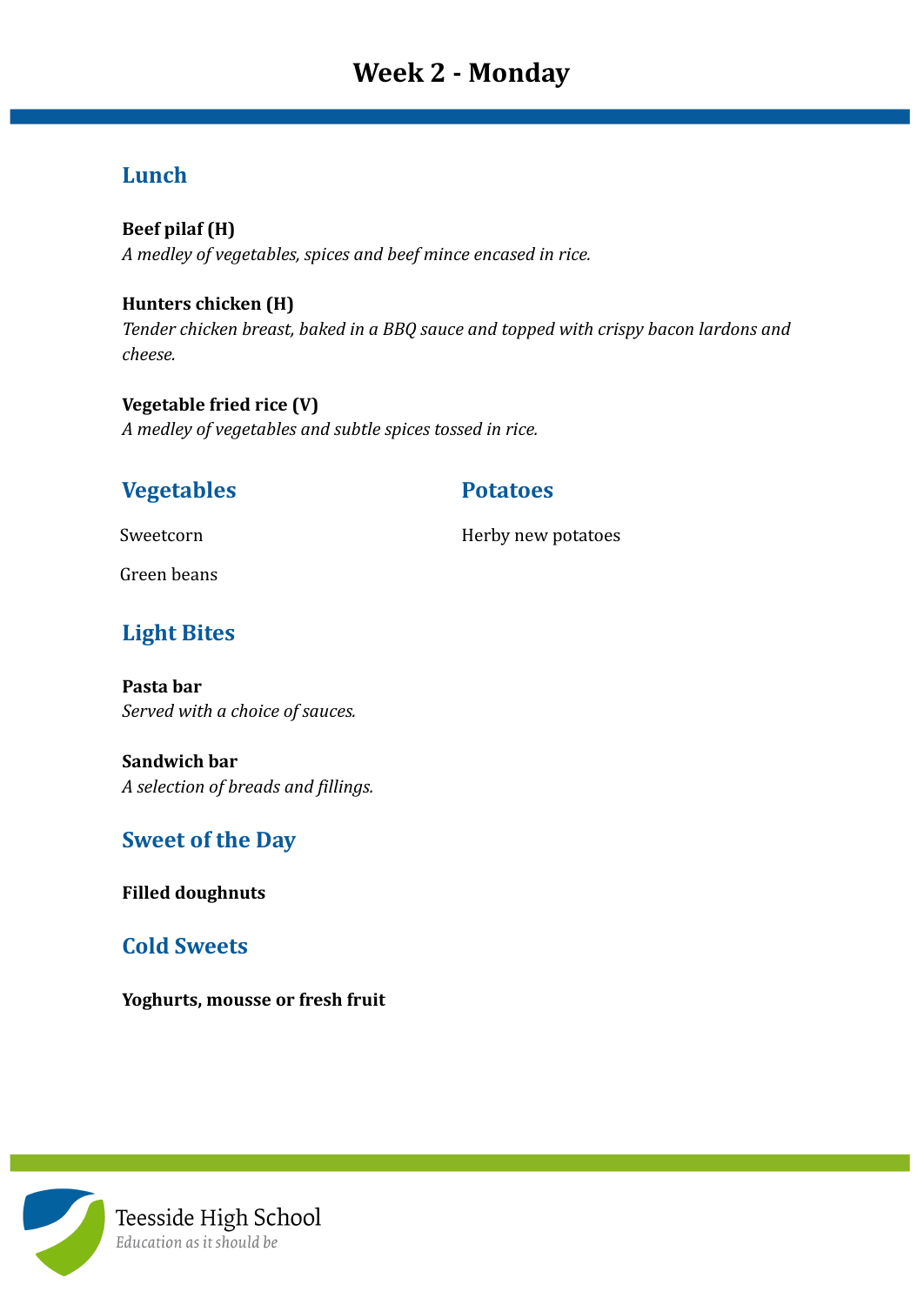# **Week 2 - Monday**

# **Lunch**

**Beef pilaf (H)** *A medley of vegetables, spices and beef mince encased in rice.*

**Hunters chicken (H)** *Tender chicken breast, baked in a BBQ sauce and topped with crispy bacon lardons and cheese.*

**Vegetable fried rice (V)** *A medley of vegetables and subtle spices tossed in rice.*

## **Vegetables Potatoes**

Sweetcorn **Herby new potatoes** 

Green beans

# **Light Bites**

**Pasta bar** *Served with a choice of sauces.*

**Sandwich bar** *A selection of breads and fillings.*

# **Sweet of the Day**

**Filled doughnuts**

# **Cold Sweets**

**Yoghurts, mousse or fresh fruit**

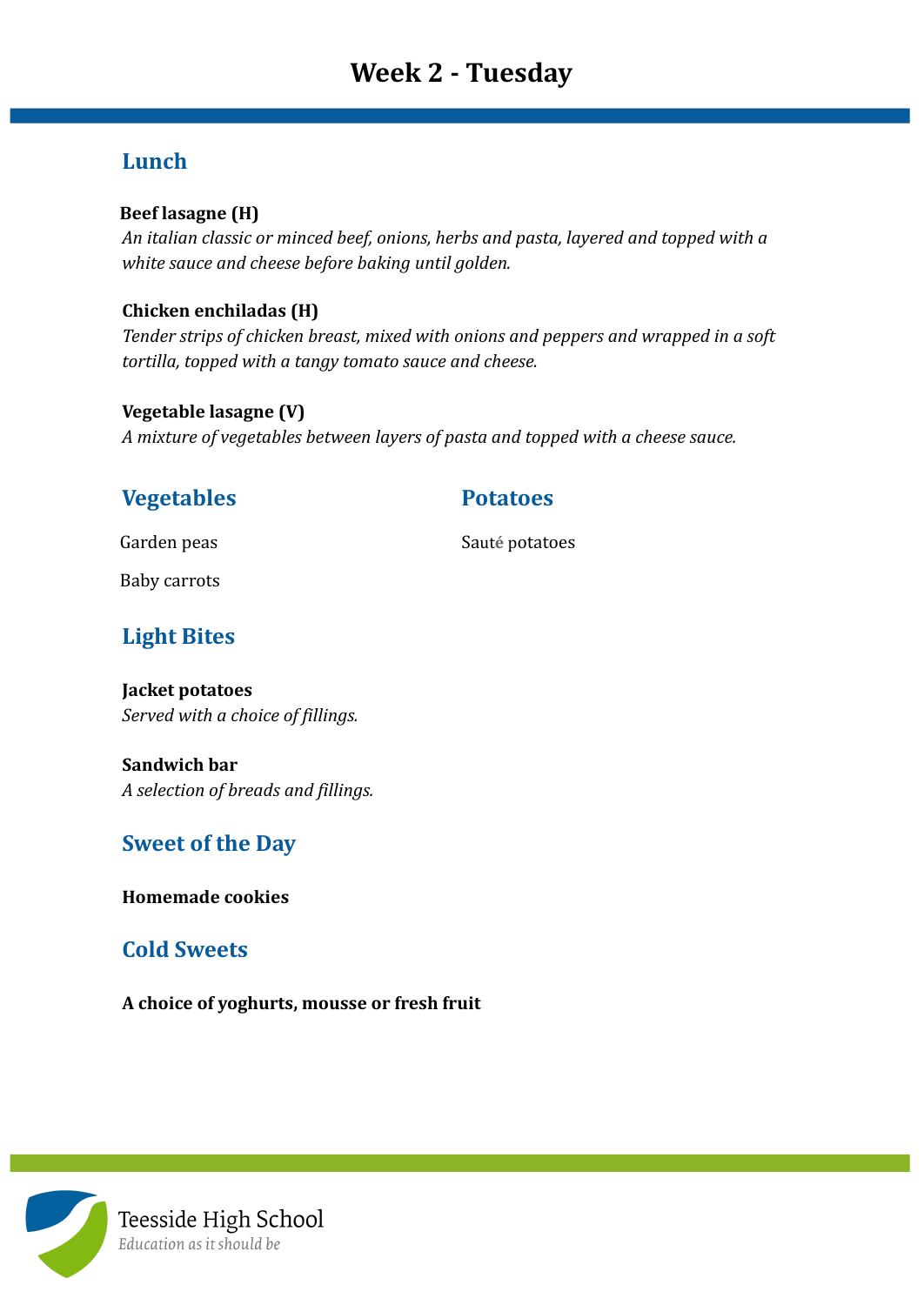# **Lunch**

#### **Beef lasagne (H)**

*An italian classic or minced beef, onions, herbs and pasta, layered and topped with a white sauce and cheese before baking until golden.*

#### **Chicken enchiladas (H)**

*Tender strips of chicken breast, mixed with onions and peppers and wrapped in a soft tortilla, topped with a tangy tomato sauce and cheese.*

#### **Vegetable lasagne (V)**

*A mixture of vegetables between layers of pasta and topped with a cheese sauce.*

## **Vegetables Potatoes**

Garden peas Saut**é** potatoes

Baby carrots

# **Light Bites**

**Jacket potatoes** *Served with a choice of fillings.*

**Sandwich bar** *A selection of breads and fillings.*

# **Sweet of the Day**

**Homemade cookies**

### **Cold Sweets**

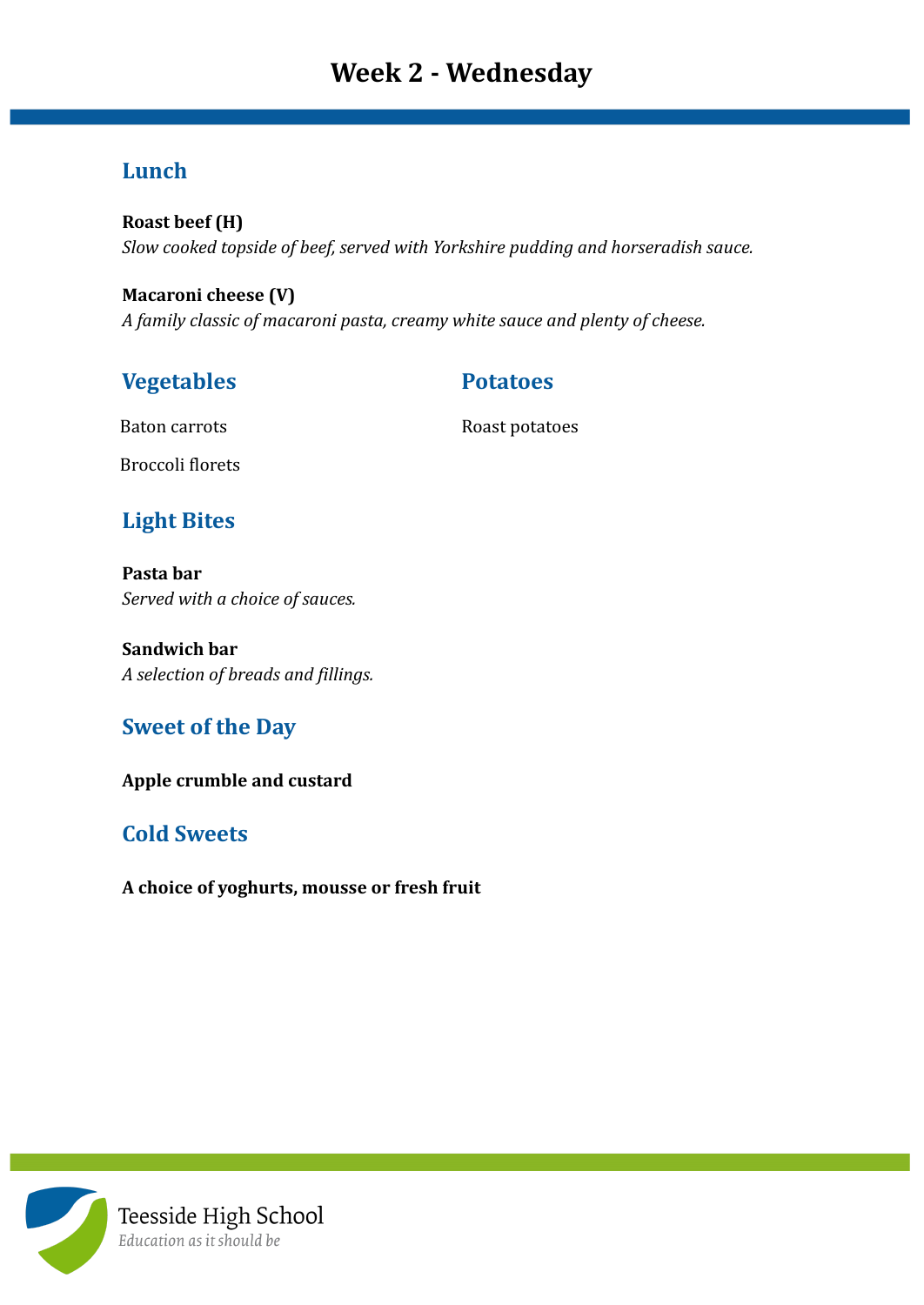# **Week 2 - Wednesday**

### **Lunch**

**Roast beef (H)** *Slow cooked topside of beef, served with Yorkshire pudding and horseradish sauce.*

**Macaroni cheese (V)** *A family classic of macaroni pasta, creamy white sauce and plenty of cheese.*

# **Vegetables Potatoes**

Baton carrots Roast potatoes

Broccoli florets

# **Light Bites**

**Pasta bar** *Served with a choice of sauces.*

**Sandwich bar** *A selection of breads and fillings.*

# **Sweet of the Day**

**Apple crumble and custard**

# **Cold Sweets**

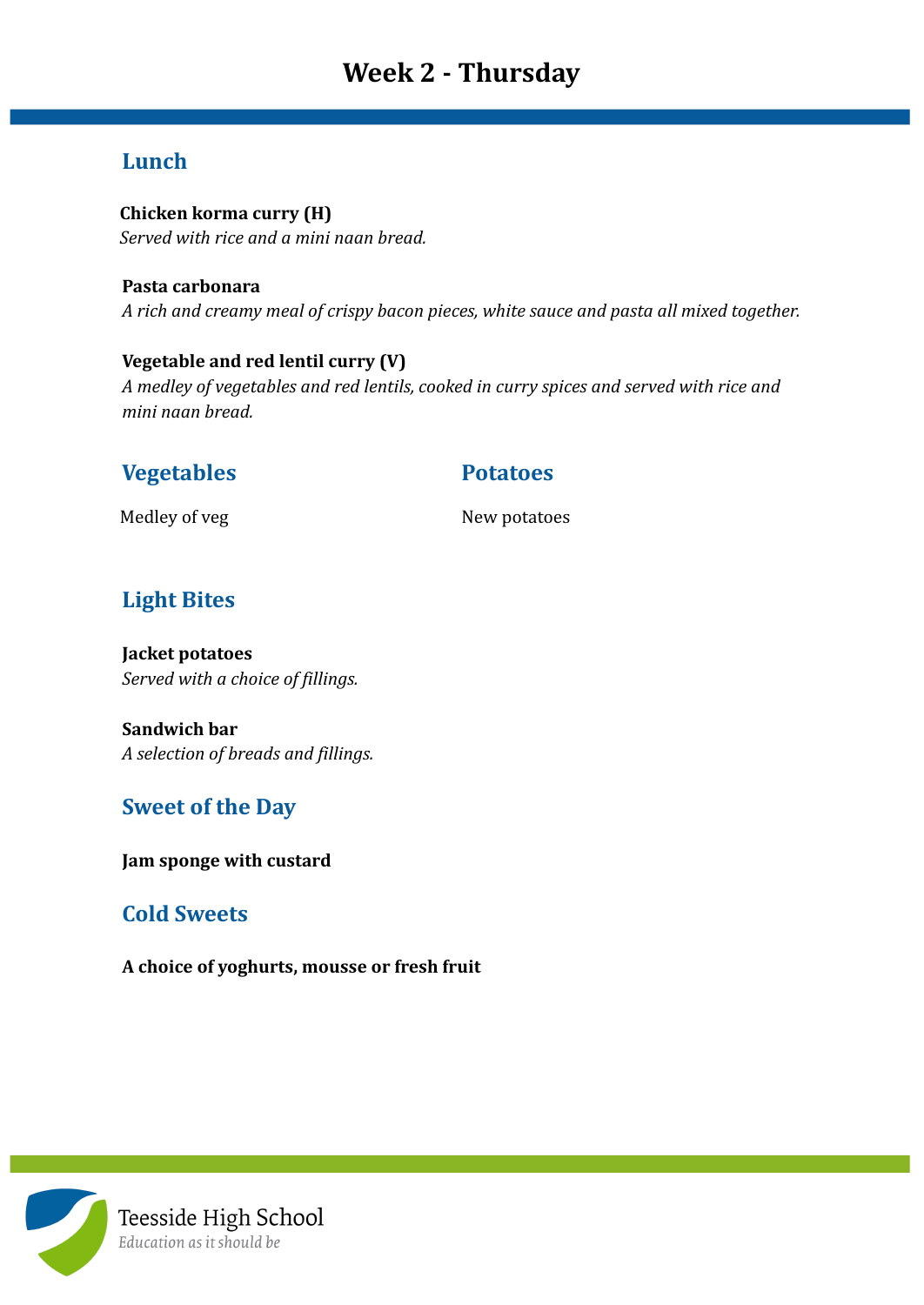# **Week 2 - Thursday**

# **Lunch**

**Chicken korma curry (H)** *Served with rice and a mini naan bread.*

**Pasta carbonara** *A rich and creamy meal of crispy bacon pieces, white sauce and pasta all mixed together.*

**Vegetable and red lentil curry (V)** *A medley of vegetables and red lentils, cooked in curry spices and served with rice and mini naan bread.*

### **Vegetables Potatoes**

Medley of veg New potatoes

# **Light Bites**

**Jacket potatoes** *Served with a choice of fillings.*

**Sandwich bar** *A selection of breads and fillings.*

# **Sweet of the Day**

**Jam sponge with custard**

### **Cold Sweets**